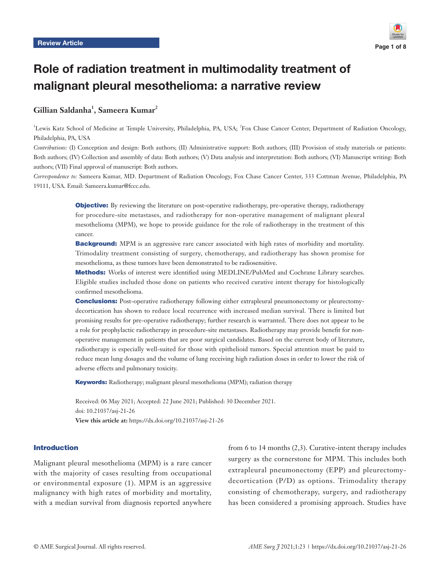

# Role of radiation treatment in multimodality treatment of malignant pleural mesothelioma: a narrative review

# **Gillian Saldanha1 , Sameera Kumar2**

<sup>1</sup>Lewis Katz School of Medicine at Temple University, Philadelphia, PA, USA; <sup>2</sup>Fox Chase Cancer Center, Department of Radiation Oncology, Philadelphia, PA, USA

*Contributions:* (I) Conception and design: Both authors; (II) Administrative support: Both authors; (III) Provision of study materials or patients: Both authors; (IV) Collection and assembly of data: Both authors; (V) Data analysis and interpretation: Both authors; (VI) Manuscript writing: Both authors; (VII) Final approval of manuscript: Both authors.

*Correspondence to:* Sameera Kumar, MD. Department of Radiation Oncology, Fox Chase Cancer Center, 333 Cottman Avenue, Philadelphia, PA 19111, USA. Email: Sameera.kumar@fccc.edu.

> **Objective:** By reviewing the literature on post-operative radiotherapy, pre-operative therapy, radiotherapy for procedure-site metastases, and radiotherapy for non-operative management of malignant pleural mesothelioma (MPM), we hope to provide guidance for the role of radiotherapy in the treatment of this cancer.

> **Background:** MPM is an aggressive rare cancer associated with high rates of morbidity and mortality. Trimodality treatment consisting of surgery, chemotherapy, and radiotherapy has shown promise for mesothelioma, as these tumors have been demonstrated to be radiosensitive.

> Methods: Works of interest were identified using MEDLINE/PubMed and Cochrane Library searches. Eligible studies included those done on patients who received curative intent therapy for histologically confirmed mesothelioma.

> **Conclusions:** Post-operative radiotherapy following either extrapleural pneumonectomy or pleurectomydecortication has shown to reduce local recurrence with increased median survival. There is limited but promising results for pre-operative radiotherapy; further research is warranted. There does not appear to be a role for prophylactic radiotherapy in procedure-site metastases. Radiotherapy may provide benefit for nonoperative management in patients that are poor surgical candidates. Based on the current body of literature, radiotherapy is especially well-suited for those with epithelioid tumors. Special attention must be paid to reduce mean lung dosages and the volume of lung receiving high radiation doses in order to lower the risk of adverse effects and pulmonary toxicity.

Keywords: Radiotherapy; malignant pleural mesothelioma (MPM); radiation therapy

Received: 06 May 2021; Accepted: 22 June 2021; Published: 30 December 2021. doi: 10.21037/asj-21-26 **View this article at:** https://dx.doi.org/10.21037/asj-21-26

### Introduction

Malignant pleural mesothelioma (MPM) is a rare cancer with the majority of cases resulting from occupational or environmental exposure (1). MPM is an aggressive malignancy with high rates of morbidity and mortality, with a median survival from diagnosis reported anywhere

from 6 to 14 months (2,3). Curative-intent therapy includes surgery as the cornerstone for MPM. This includes both extrapleural pneumonectomy (EPP) and pleurectomydecortication (P/D) as options. Trimodality therapy consisting of chemotherapy, surgery, and radiotherapy has been considered a promising approach. Studies have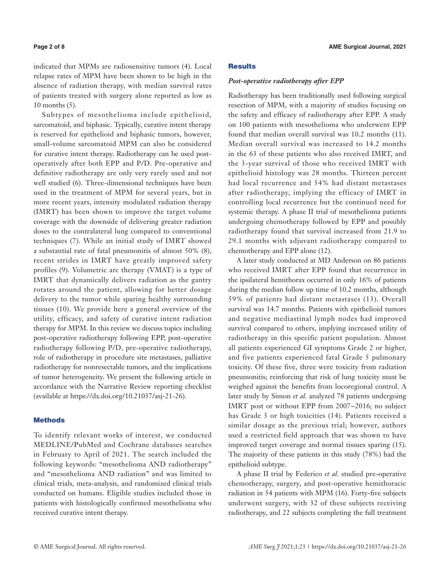indicated that MPMs are radiosensitive tumors (4). Local relapse rates of MPM have been shown to be high in the absence of radiation therapy, with median survival rates of patients treated with surgery alone reported as low as 10 months (5).

Subtypes of mesothelioma include epithelioid, sarcomatoid, and biphasic. Typically, curative intent therapy is reserved for epithelioid and biphasic tumors, however, small-volume sarcomatoid MPM can also be considered for curative intent therapy. Radiotherapy can be used postoperatively after both EPP and P/D. Pre-operative and definitive radiotherapy are only very rarely used and not well studied (6). Three-dimensional techniques have been used in the treatment of MPM for several years, but in more recent years, intensity modulated radiation therapy (IMRT) has been shown to improve the target volume coverage with the downside of delivering greater radiation doses to the contralateral lung compared to conventional techniques (7). While an initial study of IMRT showed a substantial rate of fatal pneumonitis of almost 50% (8), recent strides in IMRT have greatly improved safety profiles (9). Volumetric arc therapy (VMAT) is a type of IMRT that dynamically delivers radiation as the gantry rotates around the patient, allowing for better dosage delivery to the tumor while sparing healthy surrounding tissues (10). We provide here a general overview of the utility, efficacy, and safety of curative intent radiation therapy for MPM. In this review we discuss topics including post-operative radiotherapy following EPP, post-operative radiotherapy following P/D, pre-operative radiotherapy, role of radiotherapy in procedure site metastases, palliative radiotherapy for nonresectable tumors, and the implications of tumor heterogeneity. We present the following article in accordance with the Narrative Review reporting checklist (available at [https://dx.doi.org/10.21037/asj-21-26\)](https://dx.doi.org/10.21037/asj-21-26).

### **Methods**

To identify relevant works of interest, we conducted MEDLINE/PubMed and Cochrane databases searches in February to April of 2021. The search included the following keywords: "mesothelioma AND radiotherapy" and "mesothelioma AND radiation" and was limited to clinical trials, meta-analysis, and randomized clinical trials conducted on humans. Eligible studies included those in patients with histologically confirmed mesothelioma who received curative intent therapy.

# **Results**

#### *Post-operative radiotherapy after EPP*

Radiotherapy has been traditionally used following surgical resection of MPM, with a majority of studies focusing on the safety and efficacy of radiotherapy after EPP. A study on 100 patients with mesothelioma who underwent EPP found that median overall survival was 10.2 months (11). Median overall survival was increased to 14.2 months in the 63 of these patients who also received IMRT, and the 3-year survival of those who received IMRT with epithelioid histology was 28 months. Thirteen percent had local recurrence and 54% had distant metastases after radiotherapy, implying the efficacy of IMRT in controlling local recurrence but the continued need for systemic therapy. A phase II trial of mesothelioma patients undergoing chemotherapy followed by EPP and possibly radiotherapy found that survival increased from 21.9 to 29.1 months with adjuvant radiotherapy compared to chemotherapy and EPP alone (12).

A later study conducted at MD Anderson on 86 patients who received IMRT after EPP found that recurrence in the ipsilateral hemithorax occurred in only 16% of patients during the median follow up time of 10.2 months, although 59% of patients had distant metastases (13). Overall survival was 14.7 months. Patients with epithelioid tumors and negative mediastinal lymph nodes had improved survival compared to others, implying increased utility of radiotherapy in this specific patient population. Almost all patients experienced GI symptoms Grade 2 or higher, and five patients experienced fatal Grade 5 pulmonary toxicity. Of these five, three were toxicity from radiation pneumonitis; reinforcing that risk of lung toxicity must be weighed against the benefits from locoregional control. A later study by Simon *et al.* analyzed 78 patients undergoing IMRT post or without EPP from 2007−2016; no subject has Grade 3 or high toxicities (14). Patients received a similar dosage as the previous trial; however, authors used a restricted field approach that was shown to have improved target coverage and normal tissues sparing (15). The majority of these patients in this study (78%) had the epithelioid subtype.

A phase II trial by Federico *et al.* studied pre-operative chemotherapy, surgery, and post-operative hemithoracic radiation in 54 patients with MPM (16). Forty-five subjects underwent surgery, with 32 of these subjects receiving radiotherapy, and 22 subjects completing the full treatment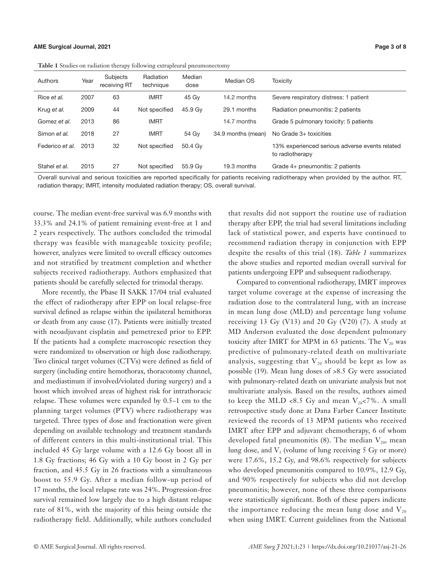|                 |      | . .                      |                        |                |                    |                                                                   |
|-----------------|------|--------------------------|------------------------|----------------|--------------------|-------------------------------------------------------------------|
| Authors         | Year | Subjects<br>receiving RT | Radiation<br>technique | Median<br>dose | Median OS          | <b>Toxicity</b>                                                   |
| Rice et al.     | 2007 | 63                       | <b>IMRT</b>            | 45 Gy          | 14.2 months        | Severe respiratory distress: 1 patient                            |
| Krug et al.     | 2009 | 44                       | Not specified          | 45.9 Gy        | 29.1 months        | Radiation pneumonitis: 2 patients                                 |
| Gomez et al.    | 2013 | 86                       | <b>IMRT</b>            |                | 14.7 months        | Grade 5 pulmonary toxicity: 5 patients                            |
| Simon et al.    | 2018 | 27                       | <b>IMRT</b>            | 54 Gy          | 34.9 months (mean) | No Grade 3+ toxicities                                            |
| Federico et al. | 2013 | 32                       | Not specified          | 50.4 Gy        |                    | 13% experienced serious adverse events related<br>to radiotherapy |
| Stahel et al.   | 2015 | 27                       | Not specified          | 55.9 Gy        | 19.3 months        | Grade 4+ pneumonitis: 2 patients                                  |

|  |  | <b>Table 1</b> Studies on radiation therapy following extrapleural pneumonectomy |  |
|--|--|----------------------------------------------------------------------------------|--|
|  |  |                                                                                  |  |

Overall survival and serious toxicities are reported specifically for patients receiving radiotherapy when provided by the author. RT, radiation therapy; IMRT, intensity modulated radiation therapy; OS, overall survival.

course. The median event-free survival was 6.9 months with 33.3% and 24.1% of patient remaining event-free at 1 and 2 years respectively. The authors concluded the trimodal therapy was feasible with manageable toxicity profile; however, analyzes were limited to overall efficacy outcomes and not stratified by treatment completion and whether subjects received radiotherapy. Authors emphasized that patients should be carefully selected for trimodal therapy.

More recently, the Phase II SAKK 17/04 trial evaluated the effect of radiotherapy after EPP on local relapse-free survival defined as relapse within the ipsilateral hemithorax or death from any cause (17). Patients were initially treated with neoadjuvant cisplatin and pemetrexed prior to EPP. If the patients had a complete macroscopic resection they were randomized to observation or high dose radiotherapy. Two clinical target volumes (CTVs) were defined as field of surgery (including entire hemothorax, thoracotomy channel, and mediastinum if involved/violated during surgery) and a boost which involved areas of highest risk for intrathoracic relapse. These volumes were expanded by 0.5–1 cm to the planning target volumes (PTV) where radiotherapy was targeted. Three types of dose and fractionation were given depending on available technology and treatment standards of different centers in this multi-institutional trial. This included 45 Gy large volume with a 12.6 Gy boost all in 1.8 Gy fractions; 46 Gy with a 10 Gy boost in 2 Gy per fraction, and 45.5 Gy in 26 fractions with a simultaneous boost to 55.9 Gy. After a median follow-up period of 17 months, the local relapse rate was 24%. Progression-free survival remained low largely due to a high distant relapse rate of 81%, with the majority of this being outside the radiotherapy field. Additionally, while authors concluded

that results did not support the routine use of radiation therapy after EPP, the trial had several limitations including lack of statistical power, and experts have continued to recommend radiation therapy in conjunction with EPP despite the results of this trial (18). *Table 1* summarizes the above studies and reported median overall survival for patients undergoing EPP and subsequent radiotherapy.

Compared to conventional radiotherapy, IMRT improves target volume coverage at the expense of increasing the radiation dose to the contralateral lung, with an increase in mean lung dose (MLD) and percentage lung volume receiving 13 Gy (V13) and 20 Gy (V20)  $(7)$ . A study at MD Anderson evaluated the dose dependent pulmonary toxicity after IMRT for MPM in 63 patients. The  $V_{20}$  was predictive of pulmonary-related death on multivariate analysis, suggesting that  $V_{20}$  should be kept as low as possible (19). Mean lung doses of >8.5 Gy were associated with pulmonary-related death on univariate analysis but not multivariate analysis. Based on the results, authors aimed to keep the MLD <8.5 Gy and mean  $V_{20}$ <7%. A small retrospective study done at Dana Farber Cancer Institute reviewed the records of 13 MPM patients who received IMRT after EPP and adjuvant chemotherapy, 6 of whom developed fatal pneumonitis (8). The median  $V_{20}$ , mean lung dose, and  $V<sub>5</sub>$  (volume of lung receiving 5 Gy or more) were 17.6%, 15.2 Gy, and 98.6% respectively for subjects who developed pneumonitis compared to 10.9%, 12.9 Gy, and 90% respectively for subjects who did not develop pneumonitis; however, none of these three comparisons were statistically significant. Both of these papers indicate the importance reducing the mean lung dose and  $V_{20}$ when using IMRT. Current guidelines from the National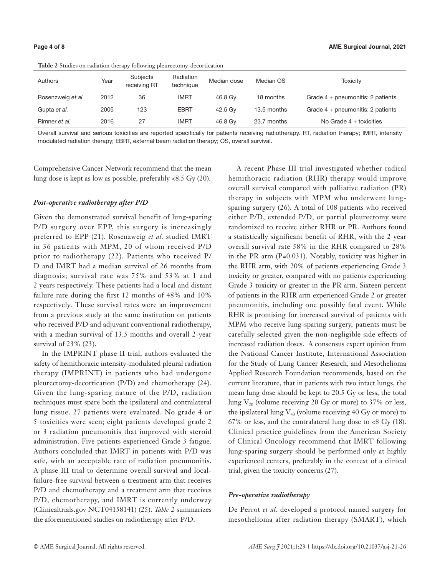| Authors           | Year | Subjects<br>receiving RT | Radiation<br>technique | Median dose | Median OS   | Toxicity                            |
|-------------------|------|--------------------------|------------------------|-------------|-------------|-------------------------------------|
| Rosenzweig et al. | 2012 | 36                       | <b>IMRT</b>            | 46.8 Gv     | 18 months   | Grade $4 +$ pneumonitis: 2 patients |
| Gupta et al.      | 2005 | 123                      | <b>EBRT</b>            | 42.5 Gv     | 13.5 months | Grade $4 +$ pneumonitis: 2 patients |
| Rimner et al.     | 2016 | 27                       | <b>IMRT</b>            | 46.8 Gv     | 23.7 months | No Grade $4 +$ toxicities           |

**Table 2** Studies on radiation therapy following pleurectomy-decortication

Overall survival and serious toxicities are reported specifically for patients receiving radiotherapy. RT, radiation therapy; IMRT, intensity modulated radiation therapy; EBRT, external beam radiation therapy; OS, overall survival.

Comprehensive Cancer Network recommend that the mean lung dose is kept as low as possible, preferably <8.5 Gy (20).

# *Post-operative radiotherapy after P/D*

Given the demonstrated survival benefit of lung-sparing P/D surgery over EPP, this surgery is increasingly preferred to EPP (21). Rosenzweig *et al.* studied IMRT in 36 patients with MPM, 20 of whom received P/D prior to radiotherapy (22). Patients who received P/ D and IMRT had a median survival of 26 months from diagnosis; survival rate was 75% and 53% at 1 and 2 years respectively. These patients had a local and distant failure rate during the first 12 months of 48% and 10% respectively. These survival rates were an improvement from a previous study at the same institution on patients who received P/D and adjuvant conventional radiotherapy, with a median survival of 13.5 months and overall 2-year survival of 23% (23).

In the IMPRINT phase II trial, authors evaluated the safety of hemithoracic intensity-modulated pleural radiation therapy (IMPRINT) in patients who had undergone pleurectomy-decortication (P/D) and chemotherapy (24). Given the lung-sparing nature of the P/D, radiation techniques must spare both the ipsilateral and contralateral lung tissue. 27 patients were evaluated. No grade 4 or 5 toxicities were seen; eight patients developed grade 2 or 3 radiation pneumonitis that improved with steroid administration. Five patients experienced Grade 3 fatigue. Authors concluded that IMRT in patients with P/D was safe, with an acceptable rate of radiation pneumonitis. A phase III trial to determine overall survival and localfailure-free survival between a treatment arm that receives P/D and chemotherapy and a treatment arm that receives P/D, chemotherapy, and IMRT is currently underway (Clinicaltrials.gov NCT04158141) (25). *Table 2* summarizes the aforementioned studies on radiotherapy after P/D.

A recent Phase III trial investigated whether radical hemithoracic radiation (RHR) therapy would improve overall survival compared with palliative radiation (PR) therapy in subjects with MPM who underwent lungsparing surgery (26). A total of 108 patients who received either P/D, extended P/D, or partial pleurectomy were randomized to receive either RHR or PR. Authors found a statistically significant benefit of RHR, with the 2 year overall survival rate 58% in the RHR compared to 28% in the PR arm (P=0.031). Notably, toxicity was higher in the RHR arm, with 20% of patients experiencing Grade 3 toxicity or greater, compared with no patients experiencing Grade 3 toxicity or greater in the PR arm. Sixteen percent of patients in the RHR arm experienced Grade 2 or greater pneumonitis, including one possibly fatal event. While RHR is promising for increased survival of patients with MPM who receive lung-sparing surgery, patients must be carefully selected given the non-negligible side effects of increased radiation doses. A consensus expert opinion from the National Cancer Institute, International Association for the Study of Lung Cancer Research, and Mesothelioma Applied Research Foundation recommends, based on the current literature, that in patients with two intact lungs, the mean lung dose should be kept to 20.5 Gy or less, the total lung  $V_{20}$  (volume receiving 20 Gy or more) to 37% or less, the ipsilateral lung  $V_{40}$  (volume receiving 40 Gy or more) to 67% or less, and the contralateral lung dose to  $<8$  Gy (18). Clinical practice guidelines from the American Society of Clinical Oncology recommend that IMRT following lung-sparing surgery should be performed only at highly experienced centers, preferably in the context of a clinical trial, given the toxicity concerns (27).

#### *Pre-operative radiotherapy*

De Perrot *et al.* developed a protocol named surgery for mesothelioma after radiation therapy (SMART), which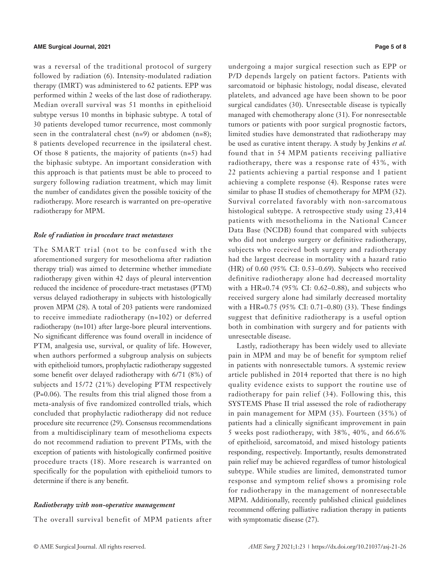was a reversal of the traditional protocol of surgery followed by radiation (6). Intensity-modulated radiation therapy (IMRT) was administered to 62 patients. EPP was performed within 2 weeks of the last dose of radiotherapy. Median overall survival was 51 months in epithelioid subtype versus 10 months in biphasic subtype. A total of 30 patients developed tumor recurrence, most commonly seen in the contralateral chest (n=9) or abdomen (n=8); 8 patients developed recurrence in the ipsilateral chest. Of those 8 patients, the majority of patients  $(n=5)$  had the biphasic subtype. An important consideration with this approach is that patients must be able to proceed to surgery following radiation treatment, which may limit the number of candidates given the possible toxicity of the radiotherapy. More research is warranted on pre-operative radiotherapy for MPM.

### *Role of radiation in procedure tract metastases*

The SMART trial (not to be confused with the aforementioned surgery for mesothelioma after radiation therapy trial) was aimed to determine whether immediate radiotherapy given within 42 days of pleural intervention reduced the incidence of procedure-tract metastases (PTM) versus delayed radiotherapy in subjects with histologically proven MPM (28). A total of 203 patients were randomized to receive immediate radiotherapy (n=102) or deferred radiotherapy (n=101) after large-bore pleural interventions. No significant difference was found overall in incidence of PTM, analgesia use, survival, or quality of life. However, when authors performed a subgroup analysis on subjects with epithelioid tumors, prophylactic radiotherapy suggested some benefit over delayed radiotherapy with 6/71 (8%) of subjects and 15/72 (21%) developing PTM respectively (P=0.06). The results from this trial aligned those from a meta-analysis of five randomized controlled trials, which concluded that prophylactic radiotherapy did not reduce procedure site recurrence (29). Consensus recommendations from a multidisciplinary team of mesothelioma expects do not recommend radiation to prevent PTMs, with the exception of patients with histologically confirmed positive procedure tracts (18). More research is warranted on specifically for the population with epithelioid tumors to determine if there is any benefit.

### *Radiotherapy with non-operative management*

The overall survival benefit of MPM patients after

undergoing a major surgical resection such as EPP or P/D depends largely on patient factors. Patients with sarcomatoid or biphasic histology, nodal disease, elevated platelets, and advanced age have been shown to be poor surgical candidates (30). Unresectable disease is typically managed with chemotherapy alone (31). For nonresectable tumors or patients with poor surgical prognostic factors, limited studies have demonstrated that radiotherapy may be used as curative intent therapy. A study by Jenkins *et al.* found that in 54 MPM patients receiving palliative radiotherapy, there was a response rate of 43%, with 22 patients achieving a partial response and 1 patient achieving a complete response (4). Response rates were similar to phase II studies of chemotherapy for MPM (32). Survival correlated favorably with non-sarcomatous histological subtype. A retrospective study using 23,414 patients with mesothelioma in the National Cancer Data Base (NCDB) found that compared with subjects who did not undergo surgery or definitive radiotherapy, subjects who received both surgery and radiotherapy had the largest decrease in mortality with a hazard ratio (HR) of 0.60 (95% CI: 0.53–0.69). Subjects who received definitive radiotherapy alone had decreased mortality with a HR=0.74 (95% CI: 0.62–0.88), and subjects who received surgery alone had similarly decreased mortality with a HR=0.75 (95% CI: 0.71–0.80) (33). These findings suggest that definitive radiotherapy is a useful option both in combination with surgery and for patients with unresectable disease.

Lastly, radiotherapy has been widely used to alleviate pain in MPM and may be of benefit for symptom relief in patients with nonresectable tumors. A systemic review article published in 2014 reported that there is no high quality evidence exists to support the routine use of radiotherapy for pain relief (34). Following this, this SYSTEMS Phase II trial assessed the role of radiotherapy in pain management for MPM (35). Fourteen (35%) of patients had a clinically significant improvement in pain 5 weeks post radiotherapy, with 38%, 40%, and 66.6% of epithelioid, sarcomatoid, and mixed histology patients responding, respectively. Importantly, results demonstrated pain relief may be achieved regardless of tumor histological subtype. While studies are limited, demonstrated tumor response and symptom relief shows a promising role for radiotherapy in the management of nonresectable MPM. Additionally, recently published clinical guidelines recommend offering palliative radiation therapy in patients with symptomatic disease (27).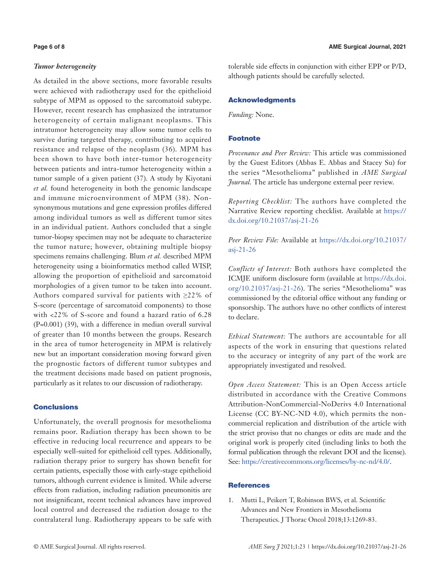#### *Tumor heterogeneity*

As detailed in the above sections, more favorable results were achieved with radiotherapy used for the epithelioid subtype of MPM as opposed to the sarcomatoid subtype. However, recent research has emphasized the intratumor heterogeneity of certain malignant neoplasms. This intratumor heterogeneity may allow some tumor cells to survive during targeted therapy, contributing to acquired resistance and relapse of the neoplasm (36). MPM has been shown to have both inter-tumor heterogeneity between patients and intra-tumor heterogeneity within a tumor sample of a given patient (37). A study by Kiyotani *et al.* found heterogeneity in both the genomic landscape and immune microenvironment of MPM (38). Nonsynonymous mutations and gene expression profiles differed among individual tumors as well as different tumor sites in an individual patient. Authors concluded that a single tumor-biopsy specimen may not be adequate to characterize the tumor nature; however, obtaining multiple biopsy specimens remains challenging. Blum *et al.* described MPM heterogeneity using a bioinformatics method called WISP, allowing the proportion of epithelioid and sarcomatoid morphologies of a given tumor to be taken into account. Authors compared survival for patients with ≥22% of S-score (percentage of sarcomatoid components) to those with <22% of S-score and found a hazard ratio of 6.28 (P=0.001) (39), with a difference in median overall survival of greater than 10 months between the groups. Research in the area of tumor heterogeneity in MPM is relatively new but an important consideration moving forward given the prognostic factors of different tumor subtypes and the treatment decisions made based on patient prognosis, particularly as it relates to our discussion of radiotherapy.

# **Conclusions**

Unfortunately, the overall prognosis for mesothelioma remains poor. Radiation therapy has been shown to be effective in reducing local recurrence and appears to be especially well-suited for epithelioid cell types. Additionally, radiation therapy prior to surgery has shown benefit for certain patients, especially those with early-stage epithelioid tumors, although current evidence is limited. While adverse effects from radiation, including radiation pneumonitis are not insignificant, recent technical advances have improved local control and decreased the radiation dosage to the contralateral lung. Radiotherapy appears to be safe with

tolerable side effects in conjunction with either EPP or P/D, although patients should be carefully selected.

# Acknowledgments

*Funding:* None.

# Footnote

*Provenance and Peer Review:* This article was commissioned by the Guest Editors (Abbas E. Abbas and Stacey Su) for the series "Mesothelioma" published in *AME Surgical Journal*. The article has undergone external peer review.

*Reporting Checklist:* The authors have completed the Narrative Review reporting checklist. Available at [https://](https://dx.doi.org/10.21037/asj-21-26) [dx.doi.org/10.21037/asj-21-26](https://dx.doi.org/10.21037/asj-21-26)

*Peer Review File:* Available at [https://dx.doi.org/10.21037/](https://dx.doi.org/10.21037/asj-21-26) [asj-21-26](https://dx.doi.org/10.21037/asj-21-26)

*Conflicts of Interest:* Both authors have completed the ICMJE uniform disclosure form (available at [https://dx.doi.](https://dx.doi.org/10.21037/asj-21-26) [org/10.21037/asj-21-26](https://dx.doi.org/10.21037/asj-21-26)). The series "Mesothelioma" was commissioned by the editorial office without any funding or sponsorship. The authors have no other conflicts of interest to declare.

*Ethical Statement:* The authors are accountable for all aspects of the work in ensuring that questions related to the accuracy or integrity of any part of the work are appropriately investigated and resolved.

*Open Access Statement:* This is an Open Access article distributed in accordance with the Creative Commons Attribution-NonCommercial-NoDerivs 4.0 International License (CC BY-NC-ND 4.0), which permits the noncommercial replication and distribution of the article with the strict proviso that no changes or edits are made and the original work is properly cited (including links to both the formal publication through the relevant DOI and the license). See: [https://creativecommons.org/licenses/by-nc-nd/4.0/.](https://creativecommons.org/licenses/by-nc-nd/4.0/)

# **References**

1. Mutti L, Peikert T, Robinson BWS, et al. Scientific Advances and New Frontiers in Mesothelioma Therapeutics. J Thorac Oncol 2018;13:1269-83.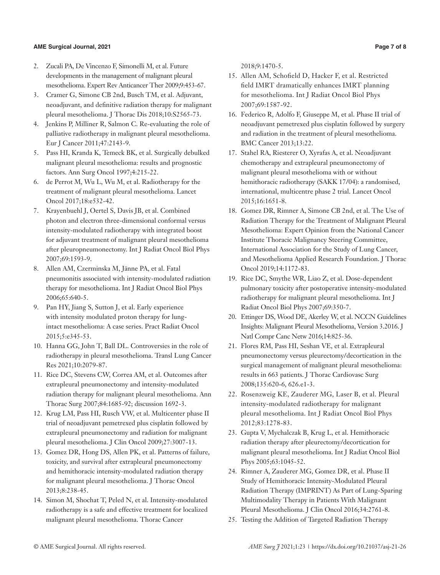### **AME Surgical Journal, 2021 Page 7 of 8**

- 2. Zucali PA, De Vincenzo F, Simonelli M, et al. Future developments in the management of malignant pleural mesothelioma. Expert Rev Anticancer Ther 2009;9:453-67.
- 3. Cramer G, Simone CB 2nd, Busch TM, et al. Adjuvant, neoadjuvant, and definitive radiation therapy for malignant pleural mesothelioma. J Thorac Dis 2018;10:S2565-73.
- 4. Jenkins P, Milliner R, Salmon C. Re-evaluating the role of palliative radiotherapy in malignant pleural mesothelioma. Eur J Cancer 2011;47:2143-9.
- 5. Pass HI, Kranda K, Temeck BK, et al. Surgically debulked malignant pleural mesothelioma: results and prognostic factors. Ann Surg Oncol 1997;4:215-22.
- 6. de Perrot M, Wu L, Wu M, et al. Radiotherapy for the treatment of malignant pleural mesothelioma. Lancet Oncol 2017;18:e532-42.
- 7. Krayenbuehl J, Oertel S, Davis JB, et al. Combined photon and electron three-dimensional conformal versus intensity-modulated radiotherapy with integrated boost for adjuvant treatment of malignant pleural mesothelioma after pleuropneumonectomy. Int J Radiat Oncol Biol Phys 2007;69:1593-9.
- 8. Allen AM, Czerminska M, Jänne PA, et al. Fatal pneumonitis associated with intensity-modulated radiation therapy for mesothelioma. Int J Radiat Oncol Biol Phys 2006;65:640-5.
- 9. Pan HY, Jiang S, Sutton J, et al. Early experience with intensity modulated proton therapy for lungintact mesothelioma: A case series. Pract Radiat Oncol 2015;5:e345-53.
- 10. Hanna GG, John T, Ball DL. Controversies in the role of radiotherapy in pleural mesothelioma. Transl Lung Cancer Res 2021;10:2079-87.
- 11. Rice DC, Stevens CW, Correa AM, et al. Outcomes after extrapleural pneumonectomy and intensity-modulated radiation therapy for malignant pleural mesothelioma. Ann Thorac Surg 2007;84:1685-92; discussion 1692-3.
- 12. Krug LM, Pass HI, Rusch VW, et al. Multicenter phase II trial of neoadjuvant pemetrexed plus cisplatin followed by extrapleural pneumonectomy and radiation for malignant pleural mesothelioma. J Clin Oncol 2009;27:3007-13.
- 13. Gomez DR, Hong DS, Allen PK, et al. Patterns of failure, toxicity, and survival after extrapleural pneumonectomy and hemithoracic intensity-modulated radiation therapy for malignant pleural mesothelioma. J Thorac Oncol 2013;8:238-45.
- 14. Simon M, Shochat T, Peled N, et al. Intensity-modulated radiotherapy is a safe and effective treatment for localized malignant pleural mesothelioma. Thorac Cancer

2018;9:1470-5.

- 15. Allen AM, Schofield D, Hacker F, et al. Restricted field IMRT dramatically enhances IMRT planning for mesothelioma. Int J Radiat Oncol Biol Phys 2007;69:1587-92.
- 16. Federico R, Adolfo F, Giuseppe M, et al. Phase II trial of neoadjuvant pemetrexed plus cisplatin followed by surgery and radiation in the treatment of pleural mesothelioma. BMC Cancer 2013;13:22.
- 17. Stahel RA, Riesterer O, Xyrafas A, et al. Neoadjuvant chemotherapy and extrapleural pneumonectomy of malignant pleural mesothelioma with or without hemithoracic radiotherapy (SAKK 17/04): a randomised, international, multicentre phase 2 trial. Lancet Oncol 2015;16:1651-8.
- 18. Gomez DR, Rimner A, Simone CB 2nd, et al. The Use of Radiation Therapy for the Treatment of Malignant Pleural Mesothelioma: Expert Opinion from the National Cancer Institute Thoracic Malignancy Steering Committee, International Association for the Study of Lung Cancer, and Mesothelioma Applied Research Foundation. J Thorac Oncol 2019;14:1172-83.
- 19. Rice DC, Smythe WR, Liao Z, et al. Dose-dependent pulmonary toxicity after postoperative intensity-modulated radiotherapy for malignant pleural mesothelioma. Int J Radiat Oncol Biol Phys 2007;69:350-7.
- 20. Ettinger DS, Wood DE, Akerley W, et al. NCCN Guidelines Insights: Malignant Pleural Mesothelioma, Version 3.2016. J Natl Compr Canc Netw 2016;14:825-36.
- 21. Flores RM, Pass HI, Seshan VE, et al. Extrapleural pneumonectomy versus pleurectomy/decortication in the surgical management of malignant pleural mesothelioma: results in 663 patients. J Thorac Cardiovasc Surg 2008;135:620-6, 626.e1-3.
- 22. Rosenzweig KE, Zauderer MG, Laser B, et al. Pleural intensity-modulated radiotherapy for malignant pleural mesothelioma. Int J Radiat Oncol Biol Phys 2012;83:1278-83.
- 23. Gupta V, Mychalczak B, Krug L, et al. Hemithoracic radiation therapy after pleurectomy/decortication for malignant pleural mesothelioma. Int J Radiat Oncol Biol Phys 2005;63:1045-52.
- 24. Rimner A, Zauderer MG, Gomez DR, et al. Phase II Study of Hemithoracic Intensity-Modulated Pleural Radiation Therapy (IMPRINT) As Part of Lung-Sparing Multimodality Therapy in Patients With Malignant Pleural Mesothelioma. J Clin Oncol 2016;34:2761-8.
- 25. Testing the Addition of Targeted Radiation Therapy